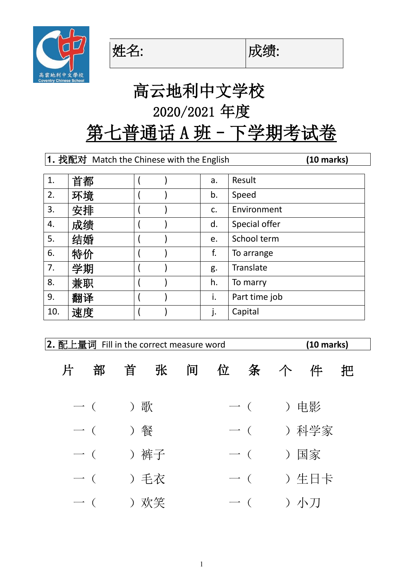

姓名: |成绩:



# 高云地利中文学校 2020/2021 年度

## 第七普通话 A 班 - 下学期考试卷

**1.** 找配对 Match the Chinese with the English **(10 marks)**

|     |    |  |    | Result        |
|-----|----|--|----|---------------|
| 1.  | 首都 |  | a. |               |
| 2.  | 环境 |  | b. | Speed         |
| 3.  | 安排 |  | c. | Environment   |
| 4.  | 成绩 |  | d. | Special offer |
| 5.  | 结婚 |  | e. | School term   |
| 6.  | 特价 |  | f. | To arrange    |
| 7.  | 学期 |  | g. | Translate     |
| 8.  | 兼职 |  | h. | To marry      |
| 9.  | 翻译 |  | i. | Part time job |
| 10. | 速度 |  | j. | Capital       |

| 2. 配上量词 Fill in the correct measure word |                            |      |      |   |  | $(10 \text{ marks})$       |          |      |   |  |
|------------------------------------------|----------------------------|------|------|---|--|----------------------------|----------|------|---|--|
| 片                                        | 部                          |      | 首 张  | 间 |  | 位 条 个                      |          | 件    | 把 |  |
|                                          | 一( ) 歌                     |      |      |   |  |                            | 一 ( ) 电影 |      |   |  |
|                                          | $\overline{\phantom{a}}$ ( |      |      |   |  | $\overline{\phantom{a}}$ ( | ) 科学家    |      |   |  |
|                                          | $\overline{\phantom{a}}$ ( |      | ) 裤子 |   |  | $\overline{\phantom{a}}$ ( |          | ) 国家 |   |  |
|                                          | $\overline{\phantom{a}}$ ( | ) 手衣 |      |   |  | $\overline{\phantom{a}}$ ( | ) 生日卡    |      |   |  |
|                                          | $\overline{\phantom{a}}$ ( |      | ) 欢笑 |   |  | $\longrightarrow$ (        | ) 小刀     |      |   |  |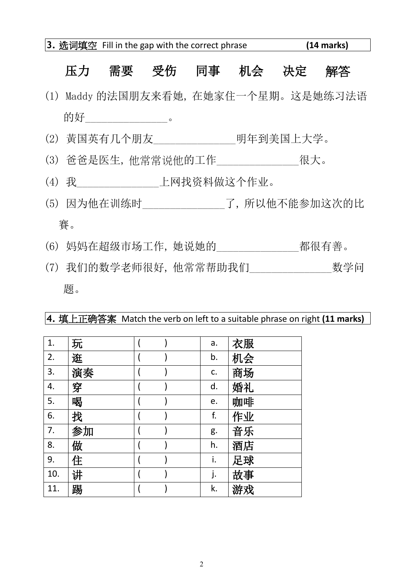#### 压力 需要 受伤 同事 机会 决定 解答

- (1) Maddy 的法国朋友来看她, 在她家住一个星期。这是她练习法语 的好\_\_\_\_\_\_\_\_\_\_\_\_\_\_\_\_\_\_\_。
- (2) 黃国英有几个朋友\_\_\_\_\_\_\_\_\_\_\_\_\_\_\_明年到美国上大学。
- (3) 爸爸是医生, 他常常说他的工作\_\_\_\_\_\_\_\_\_\_\_\_\_\_\_很大。
- (4) 我\_\_\_\_\_\_\_\_\_\_\_\_\_\_\_上网找资料做这个作业。
- (5) 因为他在训练时\_\_\_\_\_\_\_\_\_\_\_\_\_\_\_了, 所以他不能参加这次的比 賽。
- (6) 妈妈在超级市场工作, 她说她的\_\_\_\_\_\_\_\_\_\_\_\_\_\_\_都很有善。
- (7) 我们的数学老师很好, 他常常帮助我们\_\_\_\_\_\_\_\_\_\_\_\_\_\_\_数学问 题。

**4.** 填上正确答案 Match the verb on left to a suitable phrase on right **(11 marks)**

| 1.  | 玩  |  | a. | 衣服 |
|-----|----|--|----|----|
| 2.  | 逛  |  | b. | 机会 |
| 3.  | 演奏 |  | C. | 商场 |
| 4.  | 穿  |  | d. | 婚礼 |
| 5.  | 喝  |  | e. | 咖啡 |
| 6.  | 找  |  | f. | 作业 |
| 7.  | 参加 |  | g. | 音乐 |
| 8.  | 做  |  | h. | 酒店 |
| 9.  | 住  |  | i. | 足球 |
| 10. | 讲  |  | j. | 故事 |
| 11. | 踢  |  | k. | 游戏 |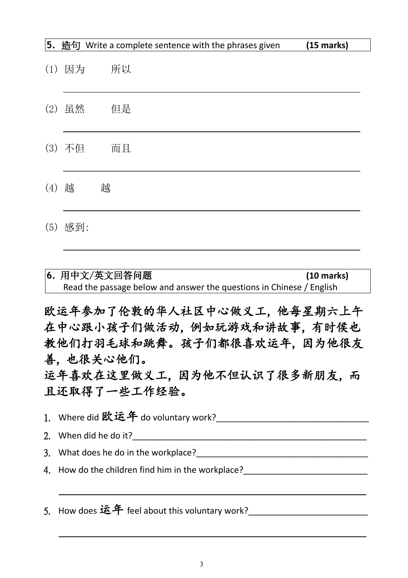|     |        | <b>5.</b> 造句 Write a complete sentence with the phrases given | $(15$ marks) |
|-----|--------|---------------------------------------------------------------|--------------|
| (1) | 因为     | 所以                                                            |              |
|     | (2) 虽然 | 但是                                                            |              |
|     | (3) 不但 | 而且                                                            |              |
| (4) | 越      | 越                                                             |              |
| (5) | 感到:    |                                                               |              |

| 6. 用中文/英文回答问题                                                        | $(10 \text{ marks})$ |
|----------------------------------------------------------------------|----------------------|
| Read the passage below and answer the questions in Chinese / English |                      |

欧运年参加了伦敦的华人社区中心做义工, 他每星期六上午 在中心跟小孩子们做活动, 例如玩游戏和讲故事, 有时侯也 教他们打羽毛球和跳舞。孩子们都很喜欢运年, 因为他很友 善, 也很关心他们。

运年喜欢在这里做义工, 因为他不但认识了很多新朋友, 而 且还取得了一些工作经验。

1. Where did 欧运年 do voluntary work?\_\_\_\_\_\_\_\_\_\_\_\_\_\_\_\_\_\_\_\_\_\_\_\_\_\_\_\_\_\_\_\_

2. When did he do it?

 $\overline{\phantom{a}}$  , and the contribution of the contribution of the contribution of the contribution of the contribution of the contribution of the contribution of the contribution of the contribution of the contribution of the

 $\overline{\phantom{a}}$  , and the contribution of the contribution of the contribution of the contribution of the contribution of the contribution of the contribution of the contribution of the contribution of the contribution of the

- 3. What does he do in the workplace?
- 4. How do the children find him in the workplace?

5. How does 运年 feel about this voluntary work?\_\_\_\_\_\_\_\_\_\_\_\_\_\_\_\_\_\_\_\_\_\_\_\_\_\_\_\_\_\_\_\_\_\_